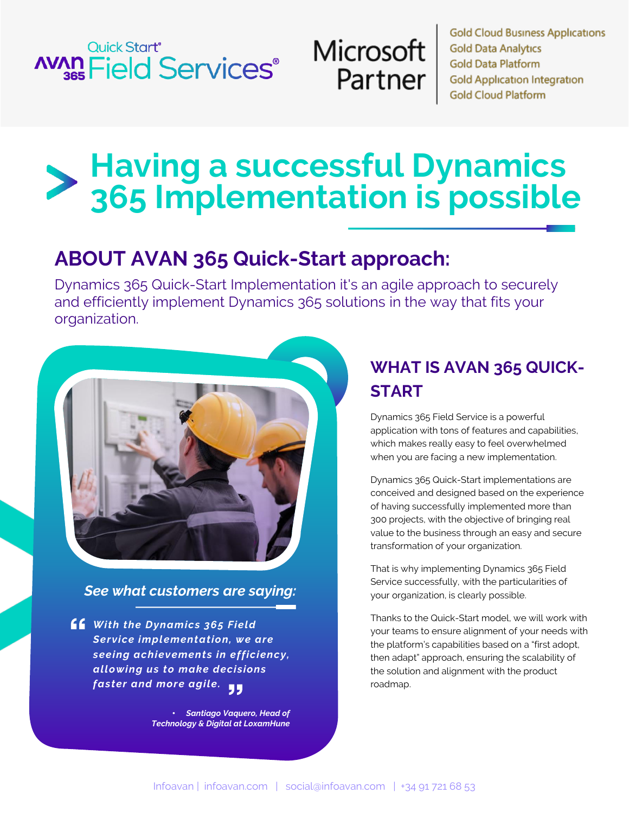# **Quick Start® AVAD** Field Services<sup>®</sup>



**Gold Cloud Business Applications Gold Data Analytics Gold Data Platform Gold Application Integration Gold Cloud Platform** 

# **Having a successful Dynamics 365 Implementation is possible**

# **ABOUT AVAN 365 Quick-Start approach:**

Dynamics 365 Quick-Start Implementation it's an agile approach to securely and efficiently implement Dynamics 365 solutions in the way that fits your organization.



*See what customers are saying:*

*With the Dynamics 365 Field Service implementation, we are seeing achievements in efficiency, allowing us to make decisions faster and more agile.*

> • *Santiago Vaquero, Head of Technology & Digital at LoxamHune*

# **WHAT IS AVAN 365 QUICK-START**

Dynamics 365 Field Service is a powerful application with tons of features and capabilities, which makes really easy to feel overwhelmed when you are facing a new implementation.

Dynamics 365 Quick-Start implementations are conceived and designed based on the experience of having successfully implemented more than 300 projects, with the objective of bringing real value to the business through an easy and secure transformation of your organization.

That is why implementing Dynamics 365 Field Service successfully, with the particularities of your organization, is clearly possible.

Thanks to the Quick-Start model, we will work with your teams to ensure alignment of your needs with the platform's capabilities based on a "first adopt, then adapt" approach, ensuring the scalability of the solution and alignment with the product roadmap.